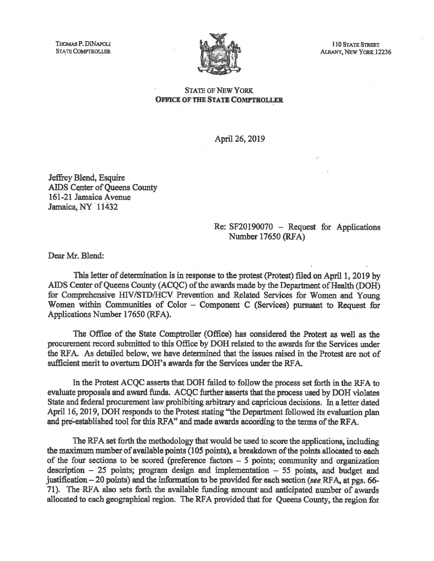THOMAS P. DINAPOLI<br>STATE COMPTROLLER



110 STATE STREBT ALBANY, NEW YORK 12236

## OFFICE OF THE STATE COMPTROLLER

April 26, 2019

Jeffrey Blend, Esquire AIDS Center of Queens County 161-21 Jamaica Avenue Jamaica, NY 11432

## Re: SF20190070 - Request for Applications Number 17650 (RFA)

Dear Mr. Blend:

This letter of determination is in response to the protest (Protest) filed on April 1, 2019 by AIDS Center of Queens County (ACQC) of the awards made by the Department of Health (DOH) for Comprehensive HIV/STD/HCV Prevention and Related Services for Women and Young Women within Communities of Color  $-$  Component C (Services) pursuant to Request for Applications Number 17650 (RFA).

The Office of the State Comptroller (Office) has considered the Protest as well as the procurement record submitted to this Office by DOH related to the awards for the Services under the RFA. As detailed below, we have determined that the issues raised in the Protest are not of sufficient merit to overturn DOH's awards for the Services under the RFA.

In the Protest ACQC asserts that DOH failed to follow the process set forth in the RFA to evaluate proposals and award funds. ACQC further asserts that the process used by DOH violates State and federal procurement law prohibiting arbitrary and capricious decisions. In a letter dated April 16, 2019, DOH responds to the Protest stating "the Department followed its evaluation plan and pre-established tool for this RFA" and made awards according to the terms of the RFA.

The RFA set forth the methodology that would be used to score the applications, including the maximum number of available points (105 points), a breakdown of the points allocated to each of the four sections to be scored (preference factors  $-5$  points; community and organization description  $-25$  points; program design and implementation  $-55$  points, and budget and justification - 20 points) and the information to be provided for each section *(see* RF A, at pgs. 66- 71). The RFA also sets forth the available funding amount and anticipated number of awards allocated to each geographical region. The RFA provided that for Queens County, the region for